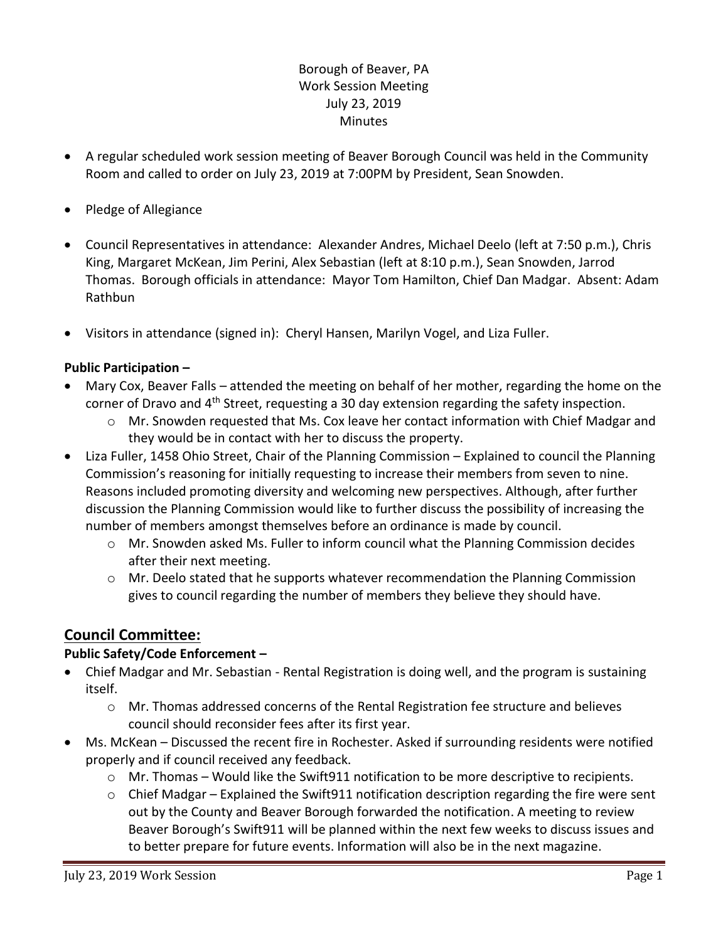# Borough of Beaver, PA Work Session Meeting July 23, 2019 **Minutes**

- A regular scheduled work session meeting of Beaver Borough Council was held in the Community Room and called to order on July 23, 2019 at 7:00PM by President, Sean Snowden.
- Pledge of Allegiance
- Council Representatives in attendance: Alexander Andres, Michael Deelo (left at 7:50 p.m.), Chris King, Margaret McKean, Jim Perini, Alex Sebastian (left at 8:10 p.m.), Sean Snowden, Jarrod Thomas. Borough officials in attendance: Mayor Tom Hamilton, Chief Dan Madgar. Absent: Adam Rathbun
- Visitors in attendance (signed in): Cheryl Hansen, Marilyn Vogel, and Liza Fuller.

### **Public Participation –**

- Mary Cox, Beaver Falls attended the meeting on behalf of her mother, regarding the home on the corner of Dravo and  $4<sup>th</sup>$  Street, requesting a 30 day extension regarding the safety inspection.
	- $\circ$  Mr. Snowden requested that Ms. Cox leave her contact information with Chief Madgar and they would be in contact with her to discuss the property.
- Liza Fuller, 1458 Ohio Street, Chair of the Planning Commission Explained to council the Planning Commission's reasoning for initially requesting to increase their members from seven to nine. Reasons included promoting diversity and welcoming new perspectives. Although, after further discussion the Planning Commission would like to further discuss the possibility of increasing the number of members amongst themselves before an ordinance is made by council.
	- $\circ$  Mr. Snowden asked Ms. Fuller to inform council what the Planning Commission decides after their next meeting.
	- $\circ$  Mr. Deelo stated that he supports whatever recommendation the Planning Commission gives to council regarding the number of members they believe they should have.

# **Council Committee:**

## **Public Safety/Code Enforcement –**

- Chief Madgar and Mr. Sebastian Rental Registration is doing well, and the program is sustaining itself.
	- $\circ$  Mr. Thomas addressed concerns of the Rental Registration fee structure and believes council should reconsider fees after its first year.
- Ms. McKean Discussed the recent fire in Rochester. Asked if surrounding residents were notified properly and if council received any feedback.
	- o Mr. Thomas Would like the Swift911 notification to be more descriptive to recipients.
	- $\circ$  Chief Madgar Explained the Swift 911 notification description regarding the fire were sent out by the County and Beaver Borough forwarded the notification. A meeting to review Beaver Borough's Swift911 will be planned within the next few weeks to discuss issues and to better prepare for future events. Information will also be in the next magazine.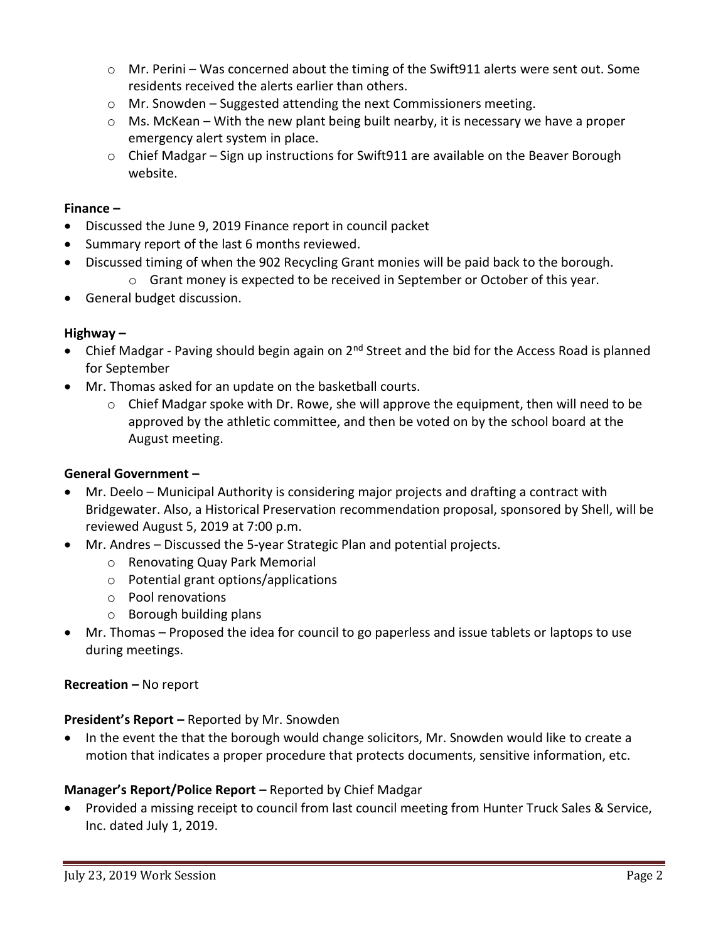- $\circ$  Mr. Perini Was concerned about the timing of the Swift 911 alerts were sent out. Some residents received the alerts earlier than others.
- o Mr. Snowden Suggested attending the next Commissioners meeting.
- $\circ$  Ms. McKean With the new plant being built nearby, it is necessary we have a proper emergency alert system in place.
- o Chief Madgar Sign up instructions for Swift911 are available on the Beaver Borough website.

#### **Finance –**

- Discussed the June 9, 2019 Finance report in council packet
- Summary report of the last 6 months reviewed.
- Discussed timing of when the 902 Recycling Grant monies will be paid back to the borough.
	- $\circ$  Grant money is expected to be received in September or October of this year.
- General budget discussion.

### **Highway –**

- Chief Madgar Paving should begin again on 2<sup>nd</sup> Street and the bid for the Access Road is planned for September
- Mr. Thomas asked for an update on the basketball courts.
	- o Chief Madgar spoke with Dr. Rowe, she will approve the equipment, then will need to be approved by the athletic committee, and then be voted on by the school board at the August meeting.

## **General Government –**

- Mr. Deelo Municipal Authority is considering major projects and drafting a contract with Bridgewater. Also, a Historical Preservation recommendation proposal, sponsored by Shell, will be reviewed August 5, 2019 at 7:00 p.m.
- Mr. Andres Discussed the 5-year Strategic Plan and potential projects.
	- o Renovating Quay Park Memorial
	- o Potential grant options/applications
	- o Pool renovations
	- o Borough building plans
- Mr. Thomas Proposed the idea for council to go paperless and issue tablets or laptops to use during meetings.

#### **Recreation –** No report

#### **President's Report –** Reported by Mr. Snowden

• In the event the that the borough would change solicitors, Mr. Snowden would like to create a motion that indicates a proper procedure that protects documents, sensitive information, etc.

## **Manager's Report/Police Report –** Reported by Chief Madgar

 Provided a missing receipt to council from last council meeting from Hunter Truck Sales & Service, Inc. dated July 1, 2019.